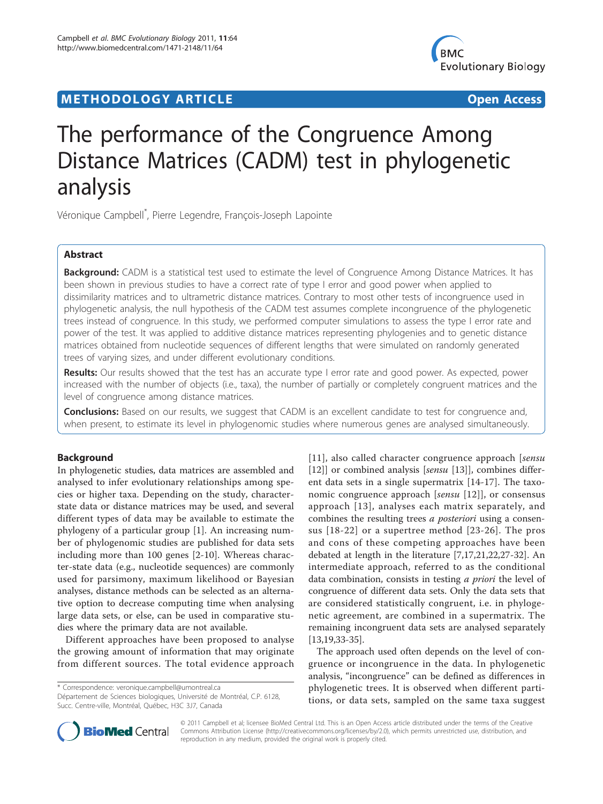# **METHODOLOGY ARTICLE Example 20 and 20 and 20 and 20 and 20 and 20 and 20 and 20 and 20 and 20 and 20 and 20 and 20 and 20 and 20 and 20 and 20 and 20 and 20 and 20 and 20 and 20 and 20 and 20 and 20 and 20 and 20 and 20**



# The performance of the Congruence Among Distance Matrices (CADM) test in phylogenetic analysis

Véronique Campbell\* , Pierre Legendre, François-Joseph Lapointe

# Abstract

Background: CADM is a statistical test used to estimate the level of Congruence Among Distance Matrices. It has been shown in previous studies to have a correct rate of type I error and good power when applied to dissimilarity matrices and to ultrametric distance matrices. Contrary to most other tests of incongruence used in phylogenetic analysis, the null hypothesis of the CADM test assumes complete incongruence of the phylogenetic trees instead of congruence. In this study, we performed computer simulations to assess the type I error rate and power of the test. It was applied to additive distance matrices representing phylogenies and to genetic distance matrices obtained from nucleotide sequences of different lengths that were simulated on randomly generated trees of varying sizes, and under different evolutionary conditions.

Results: Our results showed that the test has an accurate type I error rate and good power. As expected, power increased with the number of objects (i.e., taxa), the number of partially or completely congruent matrices and the level of congruence among distance matrices.

**Conclusions:** Based on our results, we suggest that CADM is an excellent candidate to test for congruence and, when present, to estimate its level in phylogenomic studies where numerous genes are analysed simultaneously.

# Background

In phylogenetic studies, data matrices are assembled and analysed to infer evolutionary relationships among species or higher taxa. Depending on the study, characterstate data or distance matrices may be used, and several different types of data may be available to estimate the phylogeny of a particular group [[1\]](#page-13-0). An increasing number of phylogenomic studies are published for data sets including more than 100 genes [\[2](#page-13-0)-[10\]](#page-13-0). Whereas character-state data (e.g., nucleotide sequences) are commonly used for parsimony, maximum likelihood or Bayesian analyses, distance methods can be selected as an alternative option to decrease computing time when analysing large data sets, or else, can be used in comparative studies where the primary data are not available.

Different approaches have been proposed to analyse the growing amount of information that may originate from different sources. The total evidence approach

\* Correspondence: [veronique.campbell@umontreal.ca](mailto:veronique.campbell@umontreal.ca)

Département de Sciences biologiques, Université de Montréal, C.P. 6128, Succ. Centre-ville, Montréal, Québec, H3C 3J7, Canada

[[11](#page-13-0)], also called character congruence approach [sensu] [[12\]](#page-13-0)] or combined analysis [sensu [\[13](#page-13-0)]], combines different data sets in a single supermatrix [[14-17](#page-13-0)]. The taxonomic congruence approach [sensu [\[12](#page-13-0)]], or consensus approach [[13](#page-13-0)], analyses each matrix separately, and combines the resulting trees a posteriori using a consensus [[18](#page-13-0)-[22\]](#page-13-0) or a supertree method [\[23-26](#page-13-0)]. The pros and cons of these competing approaches have been debated at length in the literature [\[7,17,21,22,27](#page-13-0)-[32\]](#page-13-0). An intermediate approach, referred to as the conditional data combination, consists in testing a priori the level of congruence of different data sets. Only the data sets that are considered statistically congruent, i.e. in phylogenetic agreement, are combined in a supermatrix. The remaining incongruent data sets are analysed separately [[13,19,33](#page-13-0)-[35\]](#page-13-0).

The approach used often depends on the level of congruence or incongruence in the data. In phylogenetic analysis, "incongruence" can be defined as differences in phylogenetic trees. It is observed when different partitions, or data sets, sampled on the same taxa suggest



© 2011 Campbell et al; licensee BioMed Central Ltd. This is an Open Access article distributed under the terms of the Creative Commons Attribution License [\(http://creativecommons.org/licenses/by/2.0](http://creativecommons.org/licenses/by/2.0)), which permits unrestricted use, distribution, and reproduction in any medium, provided the original work is properly cited.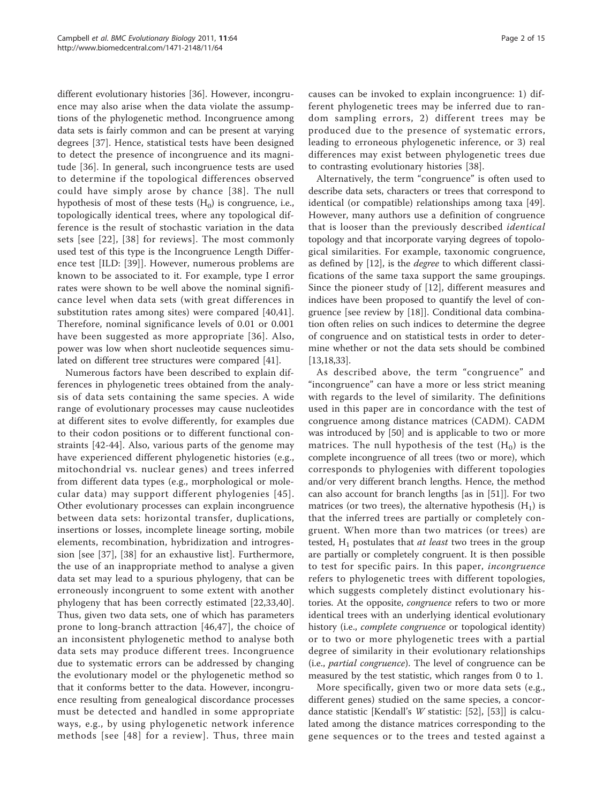different evolutionary histories [[36\]](#page-13-0). However, incongruence may also arise when the data violate the assumptions of the phylogenetic method. Incongruence among data sets is fairly common and can be present at varying degrees [\[37](#page-13-0)]. Hence, statistical tests have been designed to detect the presence of incongruence and its magnitude [[36](#page-13-0)]. In general, such incongruence tests are used to determine if the topological differences observed could have simply arose by chance [[38\]](#page-13-0). The null hypothesis of most of these tests  $(H_0)$  is congruence, i.e., topologically identical trees, where any topological difference is the result of stochastic variation in the data sets [see [[22](#page-13-0)], [[38](#page-13-0)] for reviews]. The most commonly used test of this type is the Incongruence Length Difference test [ILD: [[39\]](#page-13-0)]. However, numerous problems are known to be associated to it. For example, type I error rates were shown to be well above the nominal significance level when data sets (with great differences in substitution rates among sites) were compared [[40,41](#page-13-0)]. Therefore, nominal significance levels of 0.01 or 0.001 have been suggested as more appropriate [[36\]](#page-13-0). Also, power was low when short nucleotide sequences simulated on different tree structures were compared [[41](#page-13-0)].

Numerous factors have been described to explain differences in phylogenetic trees obtained from the analysis of data sets containing the same species. A wide range of evolutionary processes may cause nucleotides at different sites to evolve differently, for examples due to their codon positions or to different functional constraints [[42](#page-13-0)-[44\]](#page-13-0). Also, various parts of the genome may have experienced different phylogenetic histories (e.g., mitochondrial vs. nuclear genes) and trees inferred from different data types (e.g., morphological or molecular data) may support different phylogenies [[45\]](#page-13-0). Other evolutionary processes can explain incongruence between data sets: horizontal transfer, duplications, insertions or losses, incomplete lineage sorting, mobile elements, recombination, hybridization and introgression [see [[37\]](#page-13-0), [\[38](#page-13-0)] for an exhaustive list]. Furthermore, the use of an inappropriate method to analyse a given data set may lead to a spurious phylogeny, that can be erroneously incongruent to some extent with another phylogeny that has been correctly estimated [[22,33,40](#page-13-0)]. Thus, given two data sets, one of which has parameters prone to long-branch attraction [[46](#page-13-0),[47\]](#page-13-0), the choice of an inconsistent phylogenetic method to analyse both data sets may produce different trees. Incongruence due to systematic errors can be addressed by changing the evolutionary model or the phylogenetic method so that it conforms better to the data. However, incongruence resulting from genealogical discordance processes must be detected and handled in some appropriate ways, e.g., by using phylogenetic network inference methods [see [[48](#page-13-0)] for a review]. Thus, three main

causes can be invoked to explain incongruence: 1) different phylogenetic trees may be inferred due to random sampling errors, 2) different trees may be produced due to the presence of systematic errors, leading to erroneous phylogenetic inference, or 3) real differences may exist between phylogenetic trees due to contrasting evolutionary histories [\[38](#page-13-0)].

Alternatively, the term "congruence" is often used to describe data sets, characters or trees that correspond to identical (or compatible) relationships among taxa [\[49](#page-13-0)]. However, many authors use a definition of congruence that is looser than the previously described identical topology and that incorporate varying degrees of topological similarities. For example, taxonomic congruence, as defined by [[12\]](#page-13-0), is the degree to which different classifications of the same taxa support the same groupings. Since the pioneer study of [[12](#page-13-0)], different measures and indices have been proposed to quantify the level of congruence [see review by [[18](#page-13-0)]]. Conditional data combination often relies on such indices to determine the degree of congruence and on statistical tests in order to determine whether or not the data sets should be combined [[13,18,33](#page-13-0)].

As described above, the term "congruence" and "incongruence" can have a more or less strict meaning with regards to the level of similarity. The definitions used in this paper are in concordance with the test of congruence among distance matrices (CADM). CADM was introduced by [[50\]](#page-13-0) and is applicable to two or more matrices. The null hypothesis of the test  $(H_0)$  is the complete incongruence of all trees (two or more), which corresponds to phylogenies with different topologies and/or very different branch lengths. Hence, the method can also account for branch lengths [as in [[51\]](#page-13-0)]. For two matrices (or two trees), the alternative hypothesis  $(H_1)$  is that the inferred trees are partially or completely congruent. When more than two matrices (or trees) are tested,  $H_1$  postulates that *at least* two trees in the group are partially or completely congruent. It is then possible to test for specific pairs. In this paper, incongruence refers to phylogenetic trees with different topologies, which suggests completely distinct evolutionary histories. At the opposite, congruence refers to two or more identical trees with an underlying identical evolutionary history (i.e., complete congruence or topological identity) or to two or more phylogenetic trees with a partial degree of similarity in their evolutionary relationships (i.e., partial congruence). The level of congruence can be measured by the test statistic, which ranges from 0 to 1.

More specifically, given two or more data sets (e.g., different genes) studied on the same species, a concordance statistic [Kendall's W statistic: [[52\]](#page-13-0), [\[53](#page-13-0)]] is calculated among the distance matrices corresponding to the gene sequences or to the trees and tested against a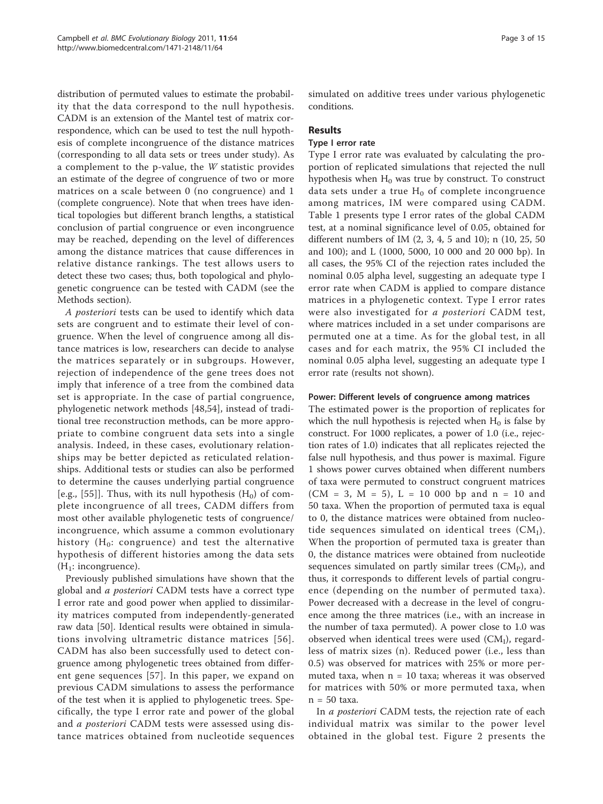distribution of permuted values to estimate the probability that the data correspond to the null hypothesis. CADM is an extension of the Mantel test of matrix correspondence, which can be used to test the null hypothesis of complete incongruence of the distance matrices (corresponding to all data sets or trees under study). As a complement to the p-value, the W statistic provides an estimate of the degree of congruence of two or more matrices on a scale between 0 (no congruence) and 1 (complete congruence). Note that when trees have identical topologies but different branch lengths, a statistical conclusion of partial congruence or even incongruence may be reached, depending on the level of differences among the distance matrices that cause differences in relative distance rankings. The test allows users to detect these two cases; thus, both topological and phylogenetic congruence can be tested with CADM (see the Methods section).

A posteriori tests can be used to identify which data sets are congruent and to estimate their level of congruence. When the level of congruence among all distance matrices is low, researchers can decide to analyse the matrices separately or in subgroups. However, rejection of independence of the gene trees does not imply that inference of a tree from the combined data set is appropriate. In the case of partial congruence, phylogenetic network methods [\[48](#page-13-0)[,54](#page-14-0)], instead of traditional tree reconstruction methods, can be more appropriate to combine congruent data sets into a single analysis. Indeed, in these cases, evolutionary relationships may be better depicted as reticulated relationships. Additional tests or studies can also be performed to determine the causes underlying partial congruence [e.g., [[55](#page-14-0)]]. Thus, with its null hypothesis  $(H_0)$  of complete incongruence of all trees, CADM differs from most other available phylogenetic tests of congruence/ incongruence, which assume a common evolutionary history ( $H_0$ : congruence) and test the alternative hypothesis of different histories among the data sets  $(H<sub>1</sub>: incongruence).$ 

Previously published simulations have shown that the global and a posteriori CADM tests have a correct type I error rate and good power when applied to dissimilarity matrices computed from independently-generated raw data [[50\]](#page-13-0). Identical results were obtained in simulations involving ultrametric distance matrices [[56\]](#page-14-0). CADM has also been successfully used to detect congruence among phylogenetic trees obtained from different gene sequences [[57](#page-14-0)]. In this paper, we expand on previous CADM simulations to assess the performance of the test when it is applied to phylogenetic trees. Specifically, the type I error rate and power of the global and *a posteriori* CADM tests were assessed using distance matrices obtained from nucleotide sequences simulated on additive trees under various phylogenetic conditions.

#### Results

#### Type I error rate

Type I error rate was evaluated by calculating the proportion of replicated simulations that rejected the null hypothesis when  $H_0$  was true by construct. To construct data sets under a true  $H_0$  of complete incongruence among matrices, IM were compared using CADM. Table [1](#page-3-0) presents type I error rates of the global CADM test, at a nominal significance level of 0.05, obtained for different numbers of IM (2, 3, 4, 5 and 10); n (10, 25, 50 and 100); and L (1000, 5000, 10 000 and 20 000 bp). In all cases, the 95% CI of the rejection rates included the nominal 0.05 alpha level, suggesting an adequate type I error rate when CADM is applied to compare distance matrices in a phylogenetic context. Type I error rates were also investigated for a posteriori CADM test, where matrices included in a set under comparisons are permuted one at a time. As for the global test, in all cases and for each matrix, the 95% CI included the nominal 0.05 alpha level, suggesting an adequate type I error rate (results not shown).

#### Power: Different levels of congruence among matrices

The estimated power is the proportion of replicates for which the null hypothesis is rejected when  $H_0$  is false by construct. For 1000 replicates, a power of 1.0 (i.e., rejection rates of 1.0) indicates that all replicates rejected the false null hypothesis, and thus power is maximal. Figure [1](#page-3-0) shows power curves obtained when different numbers of taxa were permuted to construct congruent matrices  $(CM = 3, M = 5)$ ,  $L = 10,000$  bp and  $n = 10$  and 50 taxa. When the proportion of permuted taxa is equal to 0, the distance matrices were obtained from nucleotide sequences simulated on identical trees  $(CM<sub>I</sub>)$ . When the proportion of permuted taxa is greater than 0, the distance matrices were obtained from nucleotide sequences simulated on partly similar trees  $(CM<sub>P</sub>)$ , and thus, it corresponds to different levels of partial congruence (depending on the number of permuted taxa). Power decreased with a decrease in the level of congruence among the three matrices (i.e., with an increase in the number of taxa permuted). A power close to 1.0 was observed when identical trees were used  $(CM<sub>I</sub>)$ , regardless of matrix sizes (n). Reduced power (i.e., less than 0.5) was observed for matrices with 25% or more permuted taxa, when  $n = 10$  taxa; whereas it was observed for matrices with 50% or more permuted taxa, when n = 50 taxa.

In a posteriori CADM tests, the rejection rate of each individual matrix was similar to the power level obtained in the global test. Figure [2](#page-3-0) presents the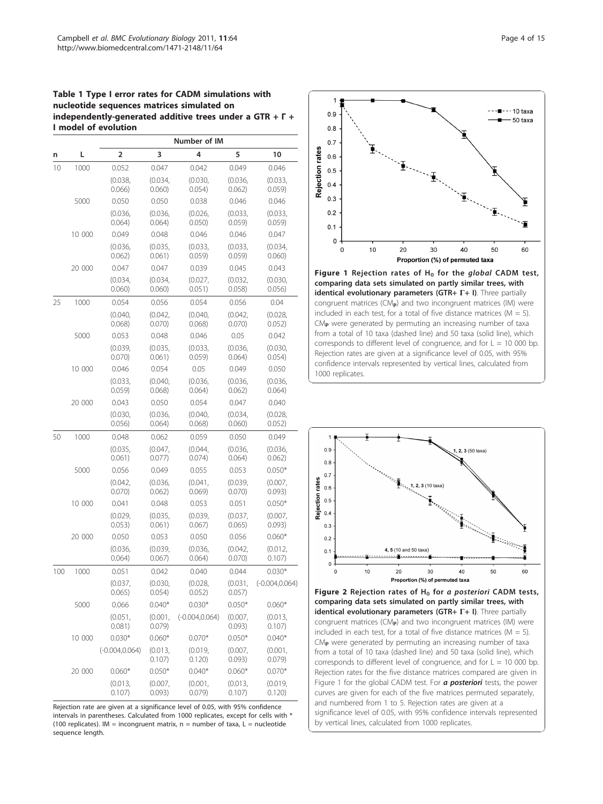<span id="page-3-0"></span>Table 1 Type I error rates for CADM simulations with nucleotide sequences matrices simulated on independently-generated additive trees under a GTR + Γ + I model of evolution

|     |        | Number of IM      |                   |                   |                   |                   |  |
|-----|--------|-------------------|-------------------|-------------------|-------------------|-------------------|--|
| n   | L      | 2                 | 3                 | 4                 | 5                 | 10                |  |
| 10  | 1000   | 0.052             | 0.047             | 0.042             | 0.049             | 0.046             |  |
|     |        | (0.038,           | (0.034,           | (0.030,           | (0.036,           | (0.033,           |  |
|     |        | 0.066)            | 0.060)            | 0.054)            | 0.062)            | 0.059)            |  |
|     | 5000   | 0.050             | 0.050             | 0.038             | 0.046             | 0.046             |  |
|     |        | (0.036,<br>0.064) | (0.036,<br>0.064) | (0.026,<br>0.050  | (0.033,<br>0.059  | (0.033,<br>0.059) |  |
|     | 10 000 | 0.049             | 0.048             | 0.046             | 0.046             | 0.047             |  |
|     |        | (0.036,<br>0.062) | (0.035,<br>0.061) | (0.033,<br>0.059  | (0.033,<br>0.059) | (0.034,<br>0.060) |  |
|     | 20 000 | 0.047             | 0.047             | 0.039             | 0.045             | 0.043             |  |
|     |        | (0.034,<br>0.060) | (0.034,<br>0.060) | (0.027,<br>0.051) | (0.032,<br>0.058  | (0.030,<br>0.056) |  |
| 25  | 1000   | 0.054             | 0.056             | 0.054             | 0.056             | 0.04              |  |
|     |        | (0.040,<br>0.068  | (0.042,<br>0.070) | (0.040,<br>0.068) | (0.042,<br>0.070) | (0.028,<br>0.052) |  |
|     | 5000   | 0.053             | 0.048             | 0.046             | 0.05              | 0.042             |  |
|     |        | (0.039,<br>0.070) | (0.035,<br>0.061) | (0.033,<br>0.059  | (0.036,<br>0.064) | (0.030,<br>0.054) |  |
|     | 10 000 | 0.046             | 0.054             | 0.05              | 0.049             | 0.050             |  |
|     |        | (0.033,<br>0.059) | (0.040,<br>0.068) | (0.036,<br>0.064) | (0.036,<br>0.062) | (0.036,<br>0.064) |  |
|     | 20 000 | 0.043             | 0.050             | 0.054             | 0.047             | 0.040             |  |
|     |        | (0.030,<br>0.056) | (0.036,<br>0.064) | (0.040.<br>0.068  | (0.034,<br>0.060) | (0.028,<br>0.052) |  |
| 50  | 1000   | 0.048             | 0.062             | 0.059             | 0.050             | 0.049             |  |
|     |        | (0.035,<br>0.061) | (0.047,<br>0.077) | (0.044,<br>0.074) | (0.036,<br>0.064) | (0.036,<br>0.062) |  |
|     | 5000   | 0.056             | 0.049             | 0.055             | 0.053             | $0.050*$          |  |
|     |        | (0.042,<br>0.070) | (0.036,<br>0.062) | (0.041,<br>0.069) | (0.039,<br>0.070) | (0.007,<br>0.093) |  |
|     | 10 000 | 0.041             | 0.048             | 0.053             | 0.051             | $0.050*$          |  |
|     |        | (0.029,<br>0.053) | (0.035,<br>0.061) | (0.039,<br>0.067) | (0.037,<br>0.065) | (0.007,<br>0.093) |  |
|     | 20 000 | 0.050             | 0.053             | 0.050             | 0.056             | $0.060*$          |  |
|     |        | (0.036,<br>0.064) | (0.039,<br>0.067) | (0.036,<br>0.064) | (0.042,<br>0.070) | (0.012,<br>0.107) |  |
| 100 | 1000   | 0.051             | 0.042             | 0.040             | 0.044             | $0.030*$          |  |
|     |        | (0.037,<br>0.065) | (0.030,<br>0.054) | (0.028,<br>0.052) | (0.031,<br>0.057) | $(-0.004, 0.064)$ |  |
|     | 5000   | 0.066             | $0.040*$          | $0.030*$          | $0.050*$          | $0.060*$          |  |
|     |        | (0.051,<br>0.081) | (0.001,<br>0.079) | $(-0.004, 0.064)$ | (0.007,<br>0.093) | (0.013,<br>0.107) |  |
|     | 10 000 | $0.030*$          | $0.060*$          | $0.070*$          | $0.050*$          | $0.040*$          |  |
|     |        | $(-0.004, 0.064)$ | (0.013,<br>0.107) | (0.019,<br>0.120) | (0.007,<br>0.093) | (0.001,<br>0.079) |  |
|     | 20 000 | $0.060*$          | $0.050*$          | $0.040*$          | $0.060*$          | $0.070*$          |  |
|     |        | (0.013,<br>0.107) | (0.007,<br>0.093) | (0.001,<br>0.079) | (0.013,<br>0.107) | (0.019,<br>0.120) |  |

Rejection rate are given at a significance level of 0.05, with 95% confidence intervals in parentheses. Calculated from 1000 replicates, except for cells with \* (100 replicates). IM = incongruent matrix,  $n =$  number of taxa, L = nucleotide sequence length.





Figure 2 Rejection rates of  $H_0$  for a posteriori CADM tests, comparing data sets simulated on partly similar trees, with identical evolutionary parameters (GTR+ Γ+ I). Three partially congruent matrices (CM<sub>P</sub>) and two incongruent matrices (IM) were included in each test, for a total of five distance matrices ( $M = 5$ ).  $CM<sub>P</sub>$  were generated by permuting an increasing number of taxa from a total of 10 taxa (dashed line) and 50 taxa (solid line), which corresponds to different level of congruence, and for  $L = 10000$  bp. Rejection rates for the five distance matrices compared are given in Figure 1 for the global CADM test. For **a posteriori** tests, the power curves are given for each of the five matrices permuted separately, and numbered from 1 to 5. Rejection rates are given at a significance level of 0.05, with 95% confidence intervals represented by vertical lines, calculated from 1000 replicates.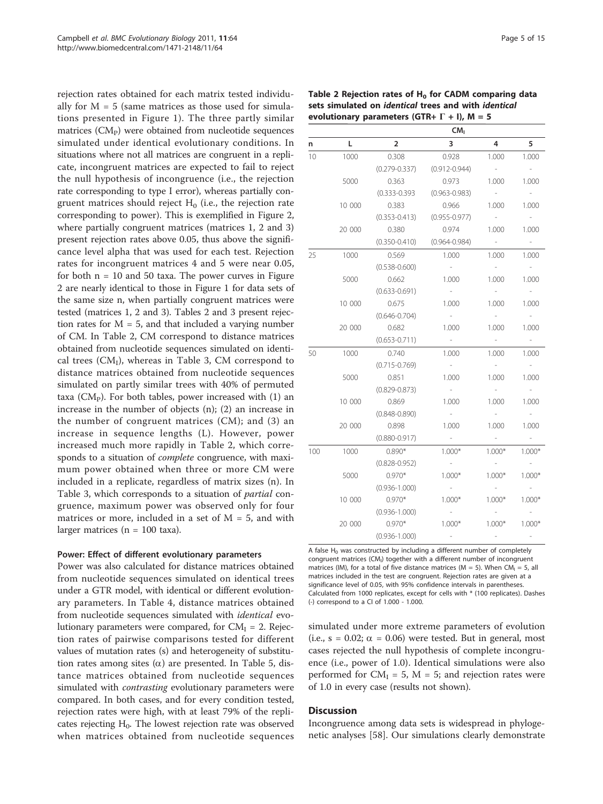<span id="page-4-0"></span>rejection rates obtained for each matrix tested individually for  $M = 5$  (same matrices as those used for simulations presented in Figure [1](#page-3-0)). The three partly similar matrices  $(CM<sub>P</sub>)$  were obtained from nucleotide sequences simulated under identical evolutionary conditions. In situations where not all matrices are congruent in a replicate, incongruent matrices are expected to fail to reject the null hypothesis of incongruence (i.e., the rejection rate corresponding to type I error), whereas partially congruent matrices should reject  $H_0$  (i.e., the rejection rate corresponding to power). This is exemplified in Figure [2](#page-3-0), where partially congruent matrices (matrices 1, 2 and 3) present rejection rates above 0.05, thus above the significance level alpha that was used for each test. Rejection rates for incongruent matrices 4 and 5 were near 0.05, for both  $n = 10$  and 50 taxa. The power curves in Figure [2](#page-3-0) are nearly identical to those in Figure [1](#page-3-0) for data sets of the same size n, when partially congruent matrices were tested (matrices 1, 2 and 3). Tables 2 and [3](#page-5-0) present rejection rates for  $M = 5$ , and that included a varying number of CM. In Table 2, CM correspond to distance matrices obtained from nucleotide sequences simulated on identical trees  $(CM<sub>I</sub>)$ , whereas in Table [3,](#page-5-0) CM correspond to distance matrices obtained from nucleotide sequences simulated on partly similar trees with 40% of permuted taxa ( $CM<sub>P</sub>$ ). For both tables, power increased with (1) an increase in the number of objects (n); (2) an increase in the number of congruent matrices (CM); and (3) an increase in sequence lengths (L). However, power increased much more rapidly in Table 2, which corresponds to a situation of complete congruence, with maximum power obtained when three or more CM were included in a replicate, regardless of matrix sizes (n). In Table [3,](#page-5-0) which corresponds to a situation of *partial* congruence, maximum power was observed only for four matrices or more, included in a set of  $M = 5$ , and with larger matrices ( $n = 100$  taxa).

#### Power: Effect of different evolutionary parameters

Power was also calculated for distance matrices obtained from nucleotide sequences simulated on identical trees under a GTR model, with identical or different evolutionary parameters. In Table [4,](#page-6-0) distance matrices obtained from nucleotide sequences simulated with identical evolutionary parameters were compared, for  $CM_I = 2$ . Rejection rates of pairwise comparisons tested for different values of mutation rates (s) and heterogeneity of substitution rates among sites  $(\alpha)$  are presented. In Table [5](#page-6-0), distance matrices obtained from nucleotide sequences simulated with *contrasting* evolutionary parameters were compared. In both cases, and for every condition tested, rejection rates were high, with at least 79% of the replicates rejecting  $H_0$ . The lowest rejection rate was observed when matrices obtained from nucleotide sequences

| Table 2 Rejection rates of $H_0$ for CADM comparing data           |  |  |  |  |  |  |
|--------------------------------------------------------------------|--|--|--|--|--|--|
| sets simulated on <i>identical</i> trees and with <i>identical</i> |  |  |  |  |  |  |
| evolutionary parameters (GTR+ $\Gamma$ + I), M = 5                 |  |  |  |  |  |  |

|     |        |                   | CM <sub>1</sub>          |                          |                          |  |  |
|-----|--------|-------------------|--------------------------|--------------------------|--------------------------|--|--|
| n   | L      | $\overline{2}$    | 3                        | 4                        | 5                        |  |  |
| 10  | 1000   | 0.308             | 0.928                    | 1.000                    | 1.000                    |  |  |
|     |        | $(0.279 - 0.337)$ | $(0.912 - 0.944)$        | $\sim$                   | $\overline{\phantom{a}}$ |  |  |
|     | 5000   | 0.363             | 0.973                    | 1.000                    | 1.000                    |  |  |
|     |        | $(0.333 - 0.393)$ | $(0.963 - 0.983)$        | $\sim$                   | $\sim$                   |  |  |
|     | 10 000 | 0.383             | 0.966                    | 1.000                    | 1.000                    |  |  |
|     |        | $(0.353 - 0.413)$ | $(0.955 - 0.977)$        | $\sim$                   | $\sim$                   |  |  |
|     | 20 000 | 0.380             | 0.974                    | 1.000                    | 1.000                    |  |  |
|     |        | $(0.350 - 0.410)$ | $(0.964 - 0.984)$        | $\overline{\phantom{a}}$ | $\sim$                   |  |  |
| 25  | 1000   | 0.569             | 1.000                    | 1.000                    | 1.000                    |  |  |
|     |        | $(0.538 - 0.600)$ | $\overline{\phantom{a}}$ | $\overline{\phantom{a}}$ | $\overline{\phantom{a}}$ |  |  |
|     | 5000   | 0.662             | 1.000                    | 1.000                    | 1.000                    |  |  |
|     |        | $(0.633 - 0.691)$ | $\sim$                   |                          |                          |  |  |
|     | 10 000 | 0.675             | 1.000                    | 1.000                    | 1.000                    |  |  |
|     |        | $(0.646 - 0.704)$ | $\overline{\phantom{a}}$ |                          | $\frac{1}{2}$            |  |  |
|     | 20 000 | 0.682             | 1.000<br>1.000           |                          | 1.000                    |  |  |
|     |        | $(0.653 - 0.711)$ | $\overline{\phantom{a}}$ | $\overline{\phantom{a}}$ |                          |  |  |
| 50  | 1000   | 0.740             | 1.000                    | 1.000                    | 1.000                    |  |  |
|     |        | $(0.715 - 0.769)$ | $\sim$                   | $\overline{\phantom{a}}$ | $\overline{\phantom{a}}$ |  |  |
|     | 5000   | 0.851             | 1.000                    | 1.000                    | 1.000                    |  |  |
|     |        | $(0.829 - 0.873)$ | $\sim$                   | $\sim$                   | $\sim$                   |  |  |
|     | 10 000 | 0.869             | 1.000                    | 1.000                    | 1.000                    |  |  |
|     |        | $(0.848 - 0.890)$ | $\overline{\phantom{a}}$ | ٠                        | $\overline{\phantom{a}}$ |  |  |
|     | 20 000 | 0.898             | 1.000                    | 1.000                    | 1.000                    |  |  |
|     |        | $(0.880 - 0.917)$ | $\overline{\phantom{a}}$ | $\frac{1}{2}$            |                          |  |  |
| 100 | 1000   | $0.890*$          | $1.000*$                 | $1.000*$                 | $1.000*$                 |  |  |
|     |        | $(0.828 - 0.952)$ | $\sim$                   | $\sim$                   |                          |  |  |
|     | 5000   | $0.970*$          | $1.000*$                 | $1.000*$                 | $1.000*$                 |  |  |
|     |        | $(0.936 - 1.000)$ | $\sim$                   | $\overline{\phantom{a}}$ |                          |  |  |
|     | 10 000 | $0.970*$          | $1.000*$                 | $1.000*$                 | $1.000*$                 |  |  |
|     |        | $(0.936 - 1.000)$ | $\sim$                   | $\overline{\phantom{a}}$ |                          |  |  |
|     | 20 000 | $0.970*$          | $1.000*$                 | $1.000*$                 | $1.000*$                 |  |  |
|     |        | $(0.936 - 1.000)$ |                          |                          |                          |  |  |

A false  $H_0$  was constructed by including a different number of completely congruent matrices (CM<sub>I</sub>) together with a different number of incongruent matrices (IM), for a total of five distance matrices ( $M = 5$ ). When CM $_1 = 5$ , all matrices included in the test are congruent. Rejection rates are given at a significance level of 0.05, with 95% confidence intervals in parentheses. Calculated from 1000 replicates, except for cells with \* (100 replicates). Dashes (-) correspond to a CI of 1.000 - 1.000.

simulated under more extreme parameters of evolution (i.e.,  $s = 0.02$ ;  $\alpha = 0.06$ ) were tested. But in general, most cases rejected the null hypothesis of complete incongruence (i.e., power of 1.0). Identical simulations were also performed for  $CM_I = 5$ ,  $M = 5$ ; and rejection rates were of 1.0 in every case (results not shown).

#### **Discussion**

Incongruence among data sets is widespread in phylogenetic analyses [\[58\]](#page-14-0). Our simulations clearly demonstrate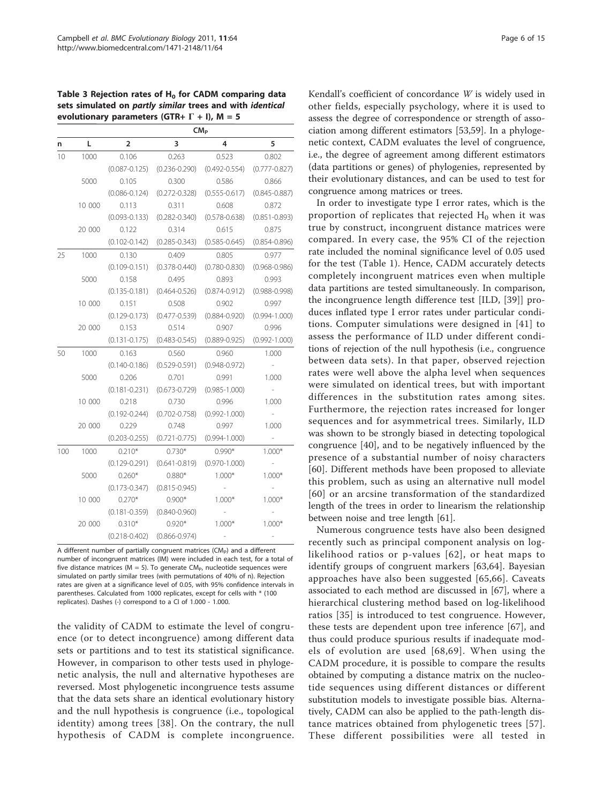<span id="page-5-0"></span>Table 3 Rejection rates of  $H_0$  for CADM comparing data sets simulated on partly similar trees and with identical evolutionary parameters (GTR+  $\Gamma$  + I), M = 5

|     |        |                   | CM <sub>p</sub>   |                          |                          |  |  |  |
|-----|--------|-------------------|-------------------|--------------------------|--------------------------|--|--|--|
| n   | L      | $\overline{2}$    | 3                 | 4                        | 5                        |  |  |  |
| 10  | 1000   | 0.106             | 0.263             | 0.523                    | 0.802                    |  |  |  |
|     |        | $(0.087 - 0.125)$ | $(0.236 - 0.290)$ | $(0.492 - 0.554)$        | $(0.777 - 0.827)$        |  |  |  |
|     | 5000   | 0.105             | 0.300             | 0.586                    | 0.866                    |  |  |  |
|     |        | $(0.086 - 0.124)$ | $(0.272 - 0.328)$ | $(0.555 - 0.617)$        | $(0.845 - 0.887)$        |  |  |  |
|     | 10 000 | 0.113             | 0.311             | 0.608                    | 0.872                    |  |  |  |
|     |        | $(0.093 - 0.133)$ | $(0.282 - 0.340)$ | $(0.578 - 0.638)$        | $(0.851 - 0.893)$        |  |  |  |
|     | 20 000 | 0.122             | 0.314             | 0.615                    | 0.875                    |  |  |  |
|     |        | $(0.102 - 0.142)$ | $(0.285 - 0.343)$ | $(0.585 - 0.645)$        | $(0.854 - 0.896)$        |  |  |  |
| 25  | 1000   | 0.130             | 0.409             | 0.805                    | 0.977                    |  |  |  |
|     |        | $(0.109 - 0.151)$ | $(0.378 - 0.440)$ | $(0.780 - 0.830)$        | $(0.968 - 0.986)$        |  |  |  |
|     | 5000   | 0.158             | 0.495             | 0.893                    | 0.993                    |  |  |  |
|     |        | $(0.135 - 0.181)$ | $(0.464 - 0.526)$ | $(0.874 - 0.912)$        | $(0.988 - 0.998)$        |  |  |  |
|     | 10 000 | 0.151             | 0.508             | 0.902                    | 0.997                    |  |  |  |
|     |        | $(0.129 - 0.173)$ | $(0.477 - 0.539)$ | $(0.884 - 0.920)$        | $(0.994 - 1.000)$        |  |  |  |
|     | 20 000 | 0.153             | 0.514             | 0.907                    | 0.996                    |  |  |  |
|     |        | $(0.131 - 0.175)$ | $(0.483 - 0.545)$ | $(0.889 - 0.925)$        | $(0.992 - 1.000)$        |  |  |  |
| 50  | 1000   | 0.163             | 0.560             | 0.960                    | 1.000                    |  |  |  |
|     |        | $(0.140 - 0.186)$ | $(0.529 - 0.591)$ | $(0.948 - 0.972)$        | $\overline{\phantom{a}}$ |  |  |  |
|     | 5000   | 0.206             | 0.701             | 0.991                    | 1.000                    |  |  |  |
|     |        | $(0.181 - 0.231)$ | $(0.673 - 0.729)$ | $(0.985 - 1.000)$        | $\overline{\phantom{a}}$ |  |  |  |
|     | 10 000 | 0.218             | 0.730             | 0.996                    | 1.000                    |  |  |  |
|     |        | $(0.192 - 0.244)$ | $(0.702 - 0.758)$ | $(0.992 - 1.000)$        | $\overline{\phantom{a}}$ |  |  |  |
|     | 20 000 | 0.229             | 0.748             | 0.997                    | 1.000                    |  |  |  |
|     |        | $(0.203 - 0.255)$ | $(0.721 - 0.775)$ | $(0.994 - 1.000)$        | $\frac{1}{2}$            |  |  |  |
| 100 | 1000   | $0.210*$          | $0.730*$          | $0.990*$                 | $1.000*$                 |  |  |  |
|     |        | $(0.129 - 0.291)$ | $(0.641 - 0.819)$ | $(0.970 - 1.000)$        |                          |  |  |  |
|     | 5000   | $0.260*$          | $0.880*$          | $1.000*$                 | $1.000*$                 |  |  |  |
|     |        | $(0.173 - 0.347)$ | $(0.815 - 0.945)$ |                          |                          |  |  |  |
|     | 10 000 | $0.270*$          | $0.900*$          | $1.000*$                 | $1.000*$                 |  |  |  |
|     |        | $(0.181 - 0.359)$ | $(0.840 - 0.960)$ | $\overline{\phantom{a}}$ | $\overline{a}$           |  |  |  |
|     | 20 000 | $0.310*$          | $0.920*$          | $1.000*$                 | $1.000*$                 |  |  |  |
|     |        | $(0.218 - 0.402)$ | $(0.866 - 0.974)$ |                          |                          |  |  |  |

A different number of partially congruent matrices  $(CM<sub>e</sub>)$  and a different number of incongruent matrices (IM) were included in each test, for a total of five distance matrices ( $M = 5$ ). To generate CM<sub>p</sub>, nucleotide sequences were simulated on partly similar trees (with permutations of 40% of n). Rejection rates are given at a significance level of 0.05, with 95% confidence intervals in parentheses. Calculated from 1000 replicates, except for cells with \* (100 replicates). Dashes (-) correspond to a CI of 1.000 - 1.000.

the validity of CADM to estimate the level of congruence (or to detect incongruence) among different data sets or partitions and to test its statistical significance. However, in comparison to other tests used in phylogenetic analysis, the null and alternative hypotheses are reversed. Most phylogenetic incongruence tests assume that the data sets share an identical evolutionary history and the null hypothesis is congruence (i.e., topological identity) among trees [\[38\]](#page-13-0). On the contrary, the null hypothesis of CADM is complete incongruence.

Kendall's coefficient of concordance W is widely used in other fields, especially psychology, where it is used to assess the degree of correspondence or strength of association among different estimators [\[53](#page-13-0)[,59\]](#page-14-0). In a phylogenetic context, CADM evaluates the level of congruence, i.e., the degree of agreement among different estimators (data partitions or genes) of phylogenies, represented by their evolutionary distances, and can be used to test for congruence among matrices or trees.

In order to investigate type I error rates, which is the proportion of replicates that rejected  $H_0$  when it was true by construct, incongruent distance matrices were compared. In every case, the 95% CI of the rejection rate included the nominal significance level of 0.05 used for the test (Table [1\)](#page-3-0). Hence, CADM accurately detects completely incongruent matrices even when multiple data partitions are tested simultaneously. In comparison, the incongruence length difference test [ILD, [[39\]](#page-13-0)] produces inflated type I error rates under particular conditions. Computer simulations were designed in [[41](#page-13-0)] to assess the performance of ILD under different conditions of rejection of the null hypothesis (i.e., congruence between data sets). In that paper, observed rejection rates were well above the alpha level when sequences were simulated on identical trees, but with important differences in the substitution rates among sites. Furthermore, the rejection rates increased for longer sequences and for asymmetrical trees. Similarly, ILD was shown to be strongly biased in detecting topological congruence [\[40](#page-13-0)], and to be negatively influenced by the presence of a substantial number of noisy characters [[60\]](#page-14-0). Different methods have been proposed to alleviate this problem, such as using an alternative null model [[60\]](#page-14-0) or an arcsine transformation of the standardized length of the trees in order to linearism the relationship between noise and tree length [[61\]](#page-14-0).

Numerous congruence tests have also been designed recently such as principal component analysis on loglikelihood ratios or p-values [[62](#page-14-0)], or heat maps to identify groups of congruent markers [[63,64](#page-14-0)]. Bayesian approaches have also been suggested [[65,66](#page-14-0)]. Caveats associated to each method are discussed in [\[67\]](#page-14-0), where a hierarchical clustering method based on log-likelihood ratios [\[35\]](#page-13-0) is introduced to test congruence. However, these tests are dependent upon tree inference [\[67](#page-14-0)], and thus could produce spurious results if inadequate models of evolution are used [[68](#page-14-0),[69\]](#page-14-0). When using the CADM procedure, it is possible to compare the results obtained by computing a distance matrix on the nucleotide sequences using different distances or different substitution models to investigate possible bias. Alternatively, CADM can also be applied to the path-length distance matrices obtained from phylogenetic trees [[57](#page-14-0)]. These different possibilities were all tested in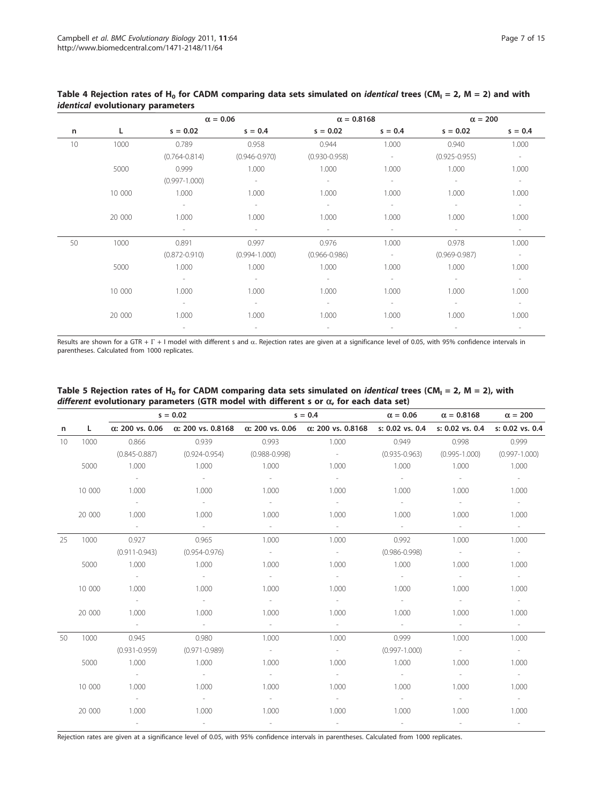|    |        | $\alpha = 0.06$          |                          |                          | $\alpha = 0.8168$        |                          | $\alpha = 200$ |  |
|----|--------|--------------------------|--------------------------|--------------------------|--------------------------|--------------------------|----------------|--|
| n  | L.     | $s = 0.02$               | $s = 0.4$                | $s = 0.02$               | $s = 0.4$                | $s = 0.02$               | $s = 0.4$      |  |
| 10 | 1000   | 0.789                    | 0.958                    | 0.944                    | 1.000                    | 0.940                    | 1.000          |  |
|    |        | $(0.764 - 0.814)$        | $(0.946 - 0.970)$        | $(0.930 - 0.958)$        | $\sim$                   | $(0.925 - 0.955)$        | $\sim$         |  |
|    | 5000   | 0.999                    | 1.000                    | 1.000                    | 1.000                    | 1.000                    | 1.000          |  |
|    |        | $(0.997 - 1.000)$        | $\sim$                   | $\overline{\phantom{a}}$ | $\sim$                   | $\sim$                   | $\sim$         |  |
|    | 10 000 | 1.000                    | 1.000                    | 1.000                    | 1.000                    | 1.000                    | 1.000          |  |
|    |        | $\sim$                   | $\sim$                   | $\sim$                   | $\sim$                   | $\sim$                   | $\sim$         |  |
|    | 20 000 | 1.000                    | 1.000                    | 1.000                    | 1.000                    | 1.000                    | 1.000          |  |
|    |        | $\overline{\phantom{a}}$ | $\overline{\phantom{a}}$ | $\overline{\phantom{a}}$ | $\overline{\phantom{a}}$ | $\overline{\phantom{a}}$ | $\sim$         |  |
| 50 | 1000   | 0.891                    | 0.997                    | 0.976                    | 1.000                    | 0.978                    | 1.000          |  |
|    |        | $(0.872 - 0.910)$        | $(0.994 - 1.000)$        | $(0.966 - 0.986)$        | $\sim$                   | $(0.969 - 0.987)$        | $\sim$         |  |
|    | 5000   | 1.000                    | 1.000                    | 1.000                    | 1.000                    | 1.000                    | 1.000          |  |
|    |        | $\sim$                   | $\sim$                   | $\overline{\phantom{a}}$ | $\sim$                   | $\sim$                   | $\sim$         |  |
|    | 10 000 | 1.000                    | 1.000                    | 1.000                    | 1.000                    | 1.000                    | 1.000          |  |
|    |        | $\overline{\phantom{a}}$ | $\overline{\phantom{a}}$ | $\overline{\phantom{a}}$ | $\sim$                   | $\overline{\phantom{a}}$ | $\sim$         |  |
|    | 20 000 | 1.000                    | 1.000                    | 1.000                    | 1.000                    | 1.000                    | 1.000          |  |
|    |        | $\sim$                   | $\sim$                   | $\overline{\phantom{a}}$ | $\sim$                   | $\overline{\phantom{a}}$ |                |  |

#### <span id="page-6-0"></span>Table 4 Rejection rates of H<sub>0</sub> for CADM comparing data sets simulated on *identical* trees (CM<sub>I</sub> = 2, M = 2) and with identical evolutionary parameters

Results are shown for a GTR + Γ + I model with different s and a. Rejection rates are given at a significance level of 0.05, with 95% confidence intervals in parentheses. Calculated from 1000 replicates.

|    |        | $s = 0.02$        |                                                                                                                     | $s = 0.4$         |                | $\alpha = 0.06$   | $\alpha = 0.8168$ | $\alpha = 200$    |
|----|--------|-------------------|---------------------------------------------------------------------------------------------------------------------|-------------------|----------------|-------------------|-------------------|-------------------|
| n  | L      |                   | $\alpha$ : 200 vs. 0.06 $\alpha$ : 200 vs. 0.8168 $\alpha$ : 200 vs. 0.06 $\alpha$ : 200 vs. 0.8168 s: 0.02 vs. 0.4 |                   |                |                   | s: 0.02 vs. 0.4   | s: 0.02 vs. 0.4   |
| 10 | 1000   | 0.866             | 0.939                                                                                                               | 0.993             | 1.000          | 0.949             | 0.998             | 0.999             |
|    |        | $(0.845 - 0.887)$ | $(0.924 - 0.954)$                                                                                                   | $(0.988 - 0.998)$ | $\sim 10^{-1}$ | $(0.935 - 0.963)$ | $(0.995 - 1.000)$ | $(0.997 - 1.000)$ |
|    | 5000   | 1.000             | 1.000                                                                                                               | 1.000             | 1.000          | 1.000             | 1.000             | 1.000             |
|    |        | $\sim$            | $\sim$                                                                                                              | $\sim$            | $\sim$         | $\sim$            | $\sim$            | $\sim$            |
|    | 10 000 | 1.000             | 1.000                                                                                                               | 1.000             | 1.000          | 1.000             | 1.000             | 1.000             |
|    |        | $\sim$            | $\sim$                                                                                                              | $\sim$            | $\sim$         | $\sim$            | $\sim$            | $\sim$            |
|    | 20 000 | 1.000             | 1.000                                                                                                               | 1.000             | 1.000          | 1.000             | 1.000             | 1.000             |
|    |        | $\sim$            | $\sim$                                                                                                              | $\sim$            | $\sim$         | $\sim$            | $\sim$            | $\sim$            |
| 25 | 1000   | 0.927             | 0.965                                                                                                               | 1.000             | 1.000          | 0.992             | 1.000             | 1.000             |
|    |        | $(0.911 - 0.943)$ | $(0.954 - 0.976)$                                                                                                   | $\sim$            | $\sim$         | $(0.986 - 0.998)$ | $\sim$            | $\sim$ $ \sim$    |
|    | 5000   | 1.000             | 1.000                                                                                                               | 1.000             | 1.000          | 1.000             | 1.000             | 1.000             |
|    |        | $\sim$            | $\sim$                                                                                                              | $\sim$            | $\sim$         | $\sim$            | $\sim$            | $\sim$            |
|    | 10 000 | 1.000             | 1.000                                                                                                               | 1.000             | 1.000          | 1.000             | 1.000             | 1.000             |
|    |        | $\sim$            | $\sim$                                                                                                              | $\sim$            | $\sim$         | $\sim$            | $\sim$            | $\sim$            |
|    | 20 000 | 1.000             | 1.000                                                                                                               | 1.000             | 1.000          | 1.000             | 1.000             | 1.000             |
|    |        | $\sim$            | $\sim$                                                                                                              | $\sim$            | $\sim$         | $\sim$            | $\sim$            | $\sim$            |
| 50 | 1000   | 0.945             | 0.980                                                                                                               | 1.000             | 1.000          | 0.999             | 1.000             | 1.000             |
|    |        | $(0.931 - 0.959)$ | $(0.971 - 0.989)$                                                                                                   | $\sim$            | $\sim$         | $(0.997 - 1.000)$ | $\sim$            | $\sim$            |
|    | 5000   | 1.000             | 1.000                                                                                                               | 1.000             | 1.000          | 1.000             | 1.000             | 1.000             |
|    |        | $\sim$            | $\sim$                                                                                                              | $\sim$            | $\sim$         | $\sim$            | $\sim$            | $\sim$            |
|    | 10 000 | 1.000             | 1.000                                                                                                               | 1.000             | 1.000          | 1.000             | 1.000             | 1.000             |
|    |        | $\sim$            | $\sim 10^{-11}$                                                                                                     | $\sim$            | $\sim$ $-$     | $\sim$            | $\sim$            | $\sim$            |
|    | 20 000 | 1.000             | 1.000                                                                                                               | 1.000             | 1.000          | 1.000             | 1.000             | 1.000             |
|    |        |                   |                                                                                                                     |                   |                |                   |                   |                   |

# Table 5 Rejection rates of H<sub>0</sub> for CADM comparing data sets simulated on *identical* trees (CM<sub>I</sub> = 2, M = 2), with different evolutionary parameters (GTR model with different s or  $\alpha$ , for each data set)

Rejection rates are given at a significance level of 0.05, with 95% confidence intervals in parentheses. Calculated from 1000 replicates.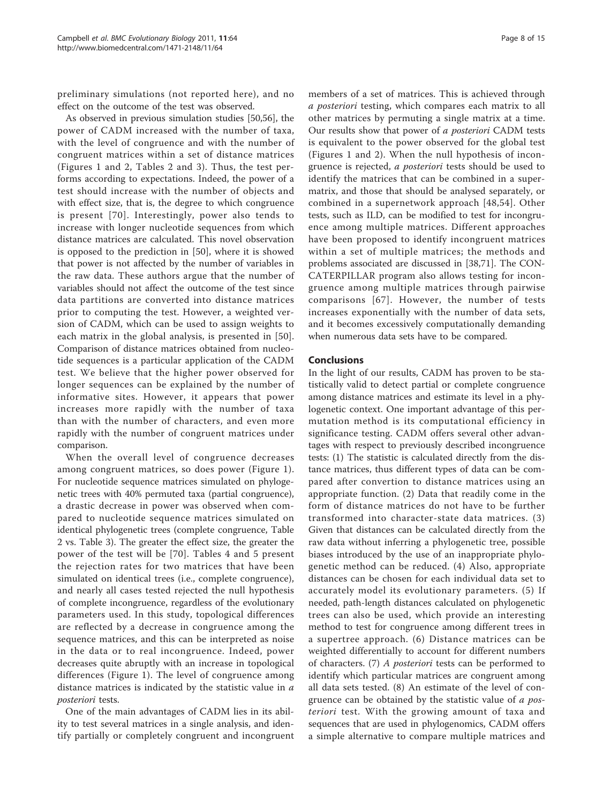preliminary simulations (not reported here), and no effect on the outcome of the test was observed.

As observed in previous simulation studies [\[50](#page-13-0)[,56](#page-14-0)], the power of CADM increased with the number of taxa, with the level of congruence and with the number of congruent matrices within a set of distance matrices (Figures [1](#page-3-0) and [2](#page-3-0), Tables [2](#page-4-0) and [3](#page-5-0)). Thus, the test performs according to expectations. Indeed, the power of a test should increase with the number of objects and with effect size, that is, the degree to which congruence is present [[70\]](#page-14-0). Interestingly, power also tends to increase with longer nucleotide sequences from which distance matrices are calculated. This novel observation is opposed to the prediction in [\[50](#page-13-0)], where it is showed that power is not affected by the number of variables in the raw data. These authors argue that the number of variables should not affect the outcome of the test since data partitions are converted into distance matrices prior to computing the test. However, a weighted version of CADM, which can be used to assign weights to each matrix in the global analysis, is presented in [[50](#page-13-0)]. Comparison of distance matrices obtained from nucleotide sequences is a particular application of the CADM test. We believe that the higher power observed for longer sequences can be explained by the number of informative sites. However, it appears that power increases more rapidly with the number of taxa than with the number of characters, and even more rapidly with the number of congruent matrices under comparison.

When the overall level of congruence decreases among congruent matrices, so does power (Figure [1\)](#page-3-0). For nucleotide sequence matrices simulated on phylogenetic trees with 40% permuted taxa (partial congruence), a drastic decrease in power was observed when compared to nucleotide sequence matrices simulated on identical phylogenetic trees (complete congruence, Table [2](#page-4-0) vs. Table [3](#page-5-0)). The greater the effect size, the greater the power of the test will be [[70](#page-14-0)]. Tables [4](#page-6-0) and [5](#page-6-0) present the rejection rates for two matrices that have been simulated on identical trees (i.e., complete congruence), and nearly all cases tested rejected the null hypothesis of complete incongruence, regardless of the evolutionary parameters used. In this study, topological differences are reflected by a decrease in congruence among the sequence matrices, and this can be interpreted as noise in the data or to real incongruence. Indeed, power decreases quite abruptly with an increase in topological differences (Figure [1](#page-3-0)). The level of congruence among distance matrices is indicated by the statistic value in  $a$ posteriori tests.

One of the main advantages of CADM lies in its ability to test several matrices in a single analysis, and identify partially or completely congruent and incongruent

members of a set of matrices. This is achieved through a posteriori testing, which compares each matrix to all other matrices by permuting a single matrix at a time. Our results show that power of a posteriori CADM tests is equivalent to the power observed for the global test (Figures [1](#page-3-0) and [2](#page-3-0)). When the null hypothesis of incongruence is rejected, a posteriori tests should be used to identify the matrices that can be combined in a supermatrix, and those that should be analysed separately, or combined in a supernetwork approach [[48](#page-13-0),[54\]](#page-14-0). Other

tests, such as ILD, can be modified to test for incongruence among multiple matrices. Different approaches have been proposed to identify incongruent matrices within a set of multiple matrices; the methods and problems associated are discussed in [\[38,](#page-13-0)[71\]](#page-14-0). The CON-CATERPILLAR program also allows testing for incongruence among multiple matrices through pairwise comparisons [[67\]](#page-14-0). However, the number of tests increases exponentially with the number of data sets, and it becomes excessively computationally demanding when numerous data sets have to be compared.

#### Conclusions

In the light of our results, CADM has proven to be statistically valid to detect partial or complete congruence among distance matrices and estimate its level in a phylogenetic context. One important advantage of this permutation method is its computational efficiency in significance testing. CADM offers several other advantages with respect to previously described incongruence tests: (1) The statistic is calculated directly from the distance matrices, thus different types of data can be compared after convertion to distance matrices using an appropriate function. (2) Data that readily come in the form of distance matrices do not have to be further transformed into character-state data matrices. (3) Given that distances can be calculated directly from the raw data without inferring a phylogenetic tree, possible biases introduced by the use of an inappropriate phylogenetic method can be reduced. (4) Also, appropriate distances can be chosen for each individual data set to accurately model its evolutionary parameters. (5) If needed, path-length distances calculated on phylogenetic trees can also be used, which provide an interesting method to test for congruence among different trees in a supertree approach. (6) Distance matrices can be weighted differentially to account for different numbers of characters. (7) A posteriori tests can be performed to identify which particular matrices are congruent among all data sets tested. (8) An estimate of the level of congruence can be obtained by the statistic value of a posteriori test. With the growing amount of taxa and sequences that are used in phylogenomics, CADM offers a simple alternative to compare multiple matrices and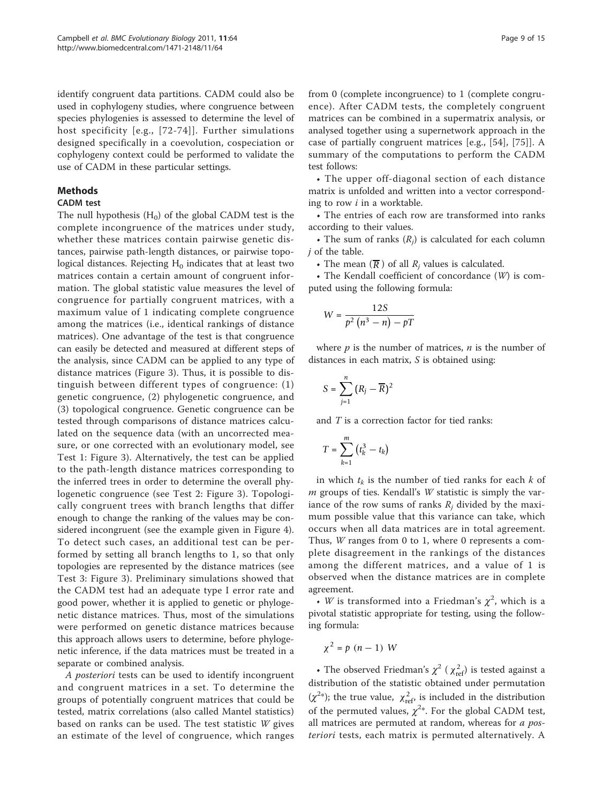identify congruent data partitions. CADM could also be used in cophylogeny studies, where congruence between species phylogenies is assessed to determine the level of host specificity [e.g., [[72](#page-14-0)-[74\]](#page-14-0)]. Further simulations designed specifically in a coevolution, cospeciation or cophylogeny context could be performed to validate the use of CADM in these particular settings.

#### Methods

#### CADM test

The null hypothesis  $(H_0)$  of the global CADM test is the complete incongruence of the matrices under study, whether these matrices contain pairwise genetic distances, pairwise path-length distances, or pairwise topological distances. Rejecting  $H_0$  indicates that at least two matrices contain a certain amount of congruent information. The global statistic value measures the level of congruence for partially congruent matrices, with a maximum value of 1 indicating complete congruence among the matrices (i.e., identical rankings of distance matrices). One advantage of the test is that congruence can easily be detected and measured at different steps of the analysis, since CADM can be applied to any type of distance matrices (Figure [3](#page-9-0)). Thus, it is possible to distinguish between different types of congruence: (1) genetic congruence, (2) phylogenetic congruence, and (3) topological congruence. Genetic congruence can be tested through comparisons of distance matrices calculated on the sequence data (with an uncorrected measure, or one corrected with an evolutionary model, see Test 1: Figure [3\)](#page-9-0). Alternatively, the test can be applied to the path-length distance matrices corresponding to the inferred trees in order to determine the overall phylogenetic congruence (see Test 2: Figure [3](#page-9-0)). Topologically congruent trees with branch lengths that differ enough to change the ranking of the values may be considered incongruent (see the example given in Figure [4](#page-10-0)). To detect such cases, an additional test can be performed by setting all branch lengths to 1, so that only topologies are represented by the distance matrices (see Test 3: Figure [3\)](#page-9-0). Preliminary simulations showed that the CADM test had an adequate type I error rate and good power, whether it is applied to genetic or phylogenetic distance matrices. Thus, most of the simulations were performed on genetic distance matrices because this approach allows users to determine, before phylogenetic inference, if the data matrices must be treated in a separate or combined analysis.

A posteriori tests can be used to identify incongruent and congruent matrices in a set. To determine the groups of potentially congruent matrices that could be tested, matrix correlations (also called Mantel statistics) based on ranks can be used. The test statistic W gives an estimate of the level of congruence, which ranges Page 9 of 15

from 0 (complete incongruence) to 1 (complete congruence). After CADM tests, the completely congruent matrices can be combined in a supermatrix analysis, or analysed together using a supernetwork approach in the case of partially congruent matrices [e.g., [[54\]](#page-14-0), [\[75](#page-14-0)]]. A summary of the computations to perform the CADM test follows:

• The upper off-diagonal section of each distance matrix is unfolded and written into a vector corresponding to row  $i$  in a worktable.

• The entries of each row are transformed into ranks according to their values.

• The sum of ranks  $(R_i)$  is calculated for each column j of the table.

• The mean  $(\overline{R})$  of all  $R_i$  values is calculated.

• The Kendall coefficient of concordance (W) is computed using the following formula:

$$
W = \frac{12S}{p^2 \left(n^3 - n\right) - pT}
$$

where  $p$  is the number of matrices,  $n$  is the number of distances in each matrix, S is obtained using:

$$
S = \sum_{j=1}^{n} (R_j - \overline{R})^2
$$

and T is a correction factor for tied ranks:

$$
T=\sum_{k=1}^m\left(t_k^3-t_k\right)
$$

in which  $t_k$  is the number of tied ranks for each k of  $m$  groups of ties. Kendall's W statistic is simply the variance of the row sums of ranks  $R_i$  divided by the maximum possible value that this variance can take, which occurs when all data matrices are in total agreement. Thus,  $W$  ranges from 0 to 1, where 0 represents a complete disagreement in the rankings of the distances among the different matrices, and a value of 1 is observed when the distance matrices are in complete agreement.

• W is transformed into a Friedman's  $\chi^2$ , which is a pivotal statistic appropriate for testing, using the following formula:

$$
\chi^2 = p (n-1) W
$$

• The observed Friedman's  $\chi^2$  ( $\chi^2_{\text{ref}}$ ) is tested against a distribution of the statistic obtained under permutation  $(\chi^{2*})$ ; the true value,  $\chi^{2}_{ref}$  is included in the distribution of the permuted values,  $\chi^{2*}$ . For the global CADM test, all matrices are permuted at random, whereas for  $a$  posteriori tests, each matrix is permuted alternatively. A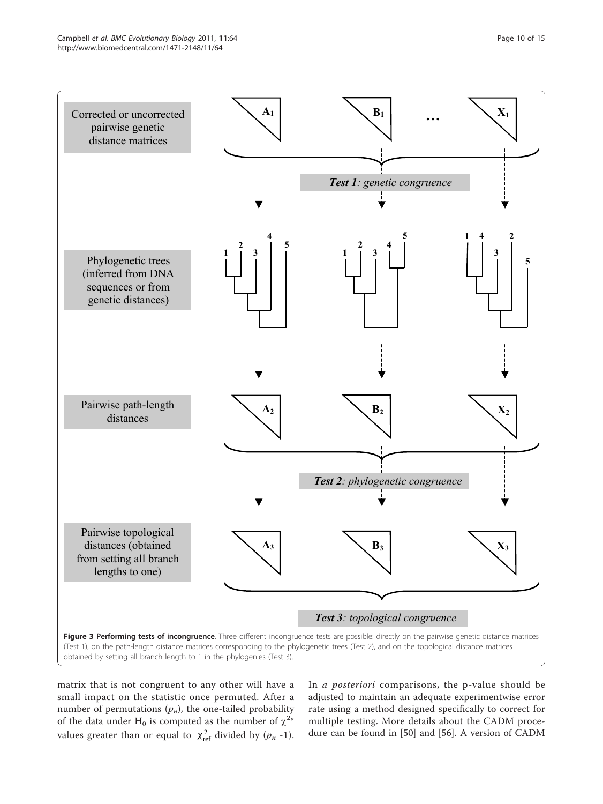<span id="page-9-0"></span>

matrix that is not congruent to any other will have a small impact on the statistic once permuted. After a number of permutations  $(p_n)$ , the one-tailed probability of the data under H<sub>0</sub> is computed as the number of  $\chi^{2*}$ values greater than or equal to  $\chi^2_{\text{ref}}$  divided by  $(p_n - 1)$ .

In a posteriori comparisons, the p-value should be adjusted to maintain an adequate experimentwise error rate using a method designed specifically to correct for multiple testing. More details about the CADM procedure can be found in [\[50](#page-13-0)] and [\[56\]](#page-14-0). A version of CADM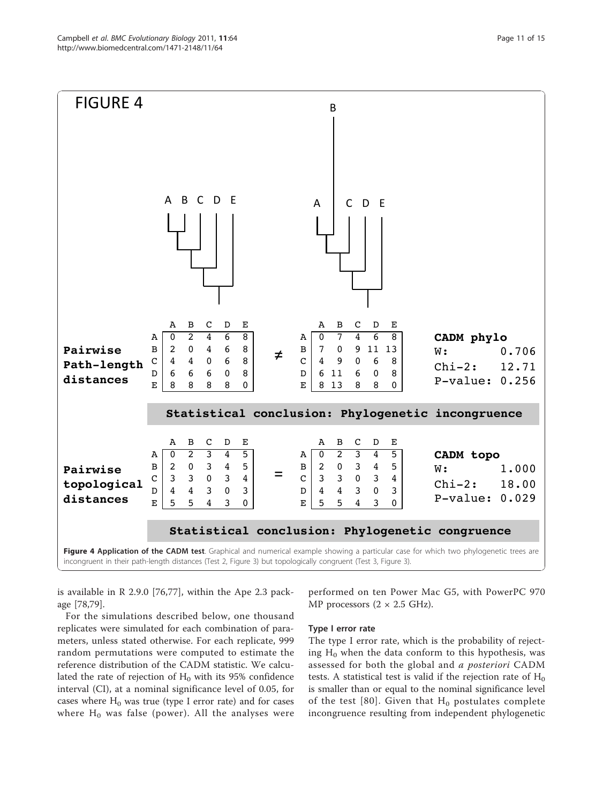<span id="page-10-0"></span>

is available in R 2.9.0 [[76,77\]](#page-14-0), within the Ape 2.3 package [[78,79](#page-14-0)].

For the simulations described below, one thousand replicates were simulated for each combination of parameters, unless stated otherwise. For each replicate, 999 random permutations were computed to estimate the reference distribution of the CADM statistic. We calculated the rate of rejection of  $H_0$  with its 95% confidence interval (CI), at a nominal significance level of 0.05, for cases where  $H_0$  was true (type I error rate) and for cases where  $H_0$  was false (power). All the analyses were

performed on ten Power Mac G5, with PowerPC 970 MP processors  $(2 \times 2.5 \text{ GHz})$ .

#### Type I error rate

The type I error rate, which is the probability of rejecting  $H_0$  when the data conform to this hypothesis, was assessed for both the global and a posteriori CADM tests. A statistical test is valid if the rejection rate of  $H_0$ is smaller than or equal to the nominal significance level of the test [[80](#page-14-0)]. Given that  $H_0$  postulates complete incongruence resulting from independent phylogenetic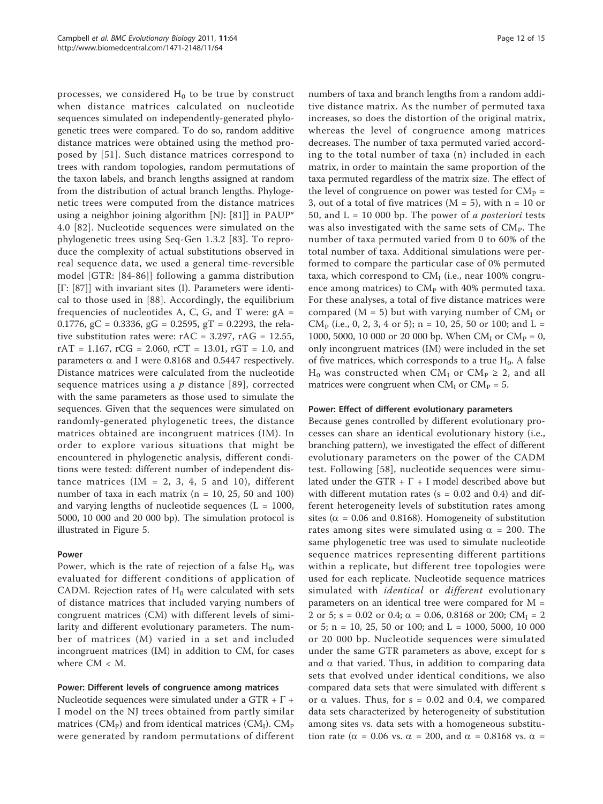processes, we considered  $H_0$  to be true by construct when distance matrices calculated on nucleotide sequences simulated on independently-generated phylogenetic trees were compared. To do so, random additive distance matrices were obtained using the method proposed by [[51\]](#page-13-0). Such distance matrices correspond to trees with random topologies, random permutations of the taxon labels, and branch lengths assigned at random from the distribution of actual branch lengths. Phylogenetic trees were computed from the distance matrices using a neighbor joining algorithm [NJ: [[81\]](#page-14-0)] in PAUP\* 4.0 [\[82\]](#page-14-0). Nucleotide sequences were simulated on the phylogenetic trees using Seq-Gen 1.3.2 [[83\]](#page-14-0). To reproduce the complexity of actual substitutions observed in real sequence data, we used a general time-reversible model [GTR: [[84](#page-14-0)-[86](#page-14-0)]] following a gamma distribution [Γ: [\[87](#page-14-0)]] with invariant sites (I). Parameters were identical to those used in [[88](#page-14-0)]. Accordingly, the equilibrium frequencies of nucleotides A, C, G, and T were:  $gA =$ 0.1776, gC = 0.3336, gG = 0.2595, gT = 0.2293, the relative substitution rates were:  $rAC = 3.297$ ,  $rAG = 12.55$ ,  $rAT = 1.167$ ,  $rCG = 2.060$ ,  $rCT = 13.01$ ,  $rGT = 1.0$ , and parameters  $\alpha$  and I were 0.8168 and 0.5447 respectively. Distance matrices were calculated from the nucleotide sequence matrices using a  $p$  distance [[89\]](#page-14-0), corrected with the same parameters as those used to simulate the sequences. Given that the sequences were simulated on randomly-generated phylogenetic trees, the distance matrices obtained are incongruent matrices (IM). In order to explore various situations that might be encountered in phylogenetic analysis, different conditions were tested: different number of independent distance matrices (IM = 2, 3, 4, 5 and 10), different number of taxa in each matrix ( $n = 10$ , 25, 50 and 100) and varying lengths of nucleotide sequences  $(L = 1000,$ 5000, 10 000 and 20 000 bp). The simulation protocol is illustrated in Figure [5](#page-12-0).

# Power

Power, which is the rate of rejection of a false  $H_0$ , was evaluated for different conditions of application of CADM. Rejection rates of  $H_0$  were calculated with sets of distance matrices that included varying numbers of congruent matrices (CM) with different levels of similarity and different evolutionary parameters. The number of matrices (M) varied in a set and included incongruent matrices (IM) in addition to CM, for cases where CM < M.

# Power: Different levels of congruence among matrices

Nucleotide sequences were simulated under a GTR +  $\Gamma$  + I model on the NJ trees obtained from partly similar matrices ( $CM<sub>P</sub>$ ) and from identical matrices ( $CM<sub>I</sub>$ ).  $CM<sub>P</sub>$ were generated by random permutations of different

numbers of taxa and branch lengths from a random additive distance matrix. As the number of permuted taxa increases, so does the distortion of the original matrix, whereas the level of congruence among matrices decreases. The number of taxa permuted varied according to the total number of taxa (n) included in each matrix, in order to maintain the same proportion of the taxa permuted regardless of the matrix size. The effect of the level of congruence on power was tested for  $CM_{P} =$ 3, out of a total of five matrices ( $M = 5$ ), with n = 10 or 50, and  $L = 10000$  bp. The power of *a posteriori* tests was also investigated with the same sets of  $CM_{p}$ . The number of taxa permuted varied from 0 to 60% of the total number of taxa. Additional simulations were performed to compare the particular case of 0% permuted taxa, which correspond to  $CM<sub>I</sub>$  (i.e., near 100% congruence among matrices) to  $CM<sub>P</sub>$  with 40% permuted taxa. For these analyses, a total of five distance matrices were compared ( $M = 5$ ) but with varying number of  $CM<sub>I</sub>$  or CM<sub>p</sub> (i.e., 0, 2, 3, 4 or 5); n = 10, 25, 50 or 100; and L = 1000, 5000, 10 000 or 20 000 bp. When  $CM_I$  or  $CM_P = 0$ , only incongruent matrices (IM) were included in the set of five matrices, which corresponds to a true  $H_0$ . A false H<sub>0</sub> was constructed when CM<sub>I</sub> or CM<sub>P</sub>  $\geq$  2, and all matrices were congruent when  $CM_{I}$  or  $CM_{P} = 5$ .

# Power: Effect of different evolutionary parameters

Because genes controlled by different evolutionary processes can share an identical evolutionary history (i.e., branching pattern), we investigated the effect of different evolutionary parameters on the power of the CADM test. Following [\[58\]](#page-14-0), nucleotide sequences were simulated under the GTR +  $\Gamma$  + I model described above but with different mutation rates ( $s = 0.02$  and 0.4) and different heterogeneity levels of substitution rates among sites ( $\alpha$  = 0.06 and 0.8168). Homogeneity of substitution rates among sites were simulated using  $\alpha = 200$ . The same phylogenetic tree was used to simulate nucleotide sequence matrices representing different partitions within a replicate, but different tree topologies were used for each replicate. Nucleotide sequence matrices simulated with *identical* or *different* evolutionary parameters on an identical tree were compared for M = 2 or 5; s = 0.02 or 0.4;  $\alpha$  = 0.06, 0.8168 or 200; CM<sub>I</sub> = 2 or 5;  $n = 10$ , 25, 50 or 100; and  $L = 1000$ , 5000, 10 000 or 20 000 bp. Nucleotide sequences were simulated under the same GTR parameters as above, except for s and  $\alpha$  that varied. Thus, in addition to comparing data sets that evolved under identical conditions, we also compared data sets that were simulated with different s or  $\alpha$  values. Thus, for  $s = 0.02$  and 0.4, we compared data sets characterized by heterogeneity of substitution among sites vs. data sets with a homogeneous substitution rate ( $\alpha$  = 0.06 vs.  $\alpha$  = 200, and  $\alpha$  = 0.8168 vs.  $\alpha$  =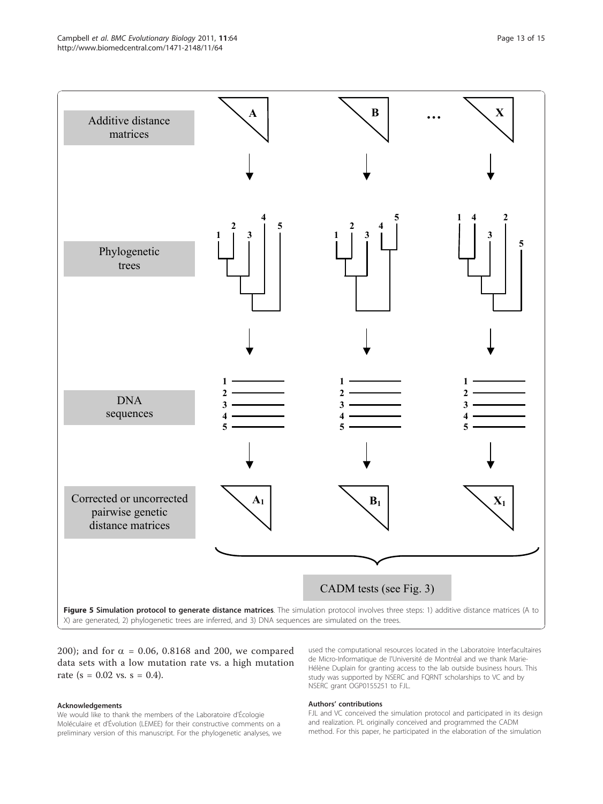<span id="page-12-0"></span>

200); and for  $\alpha = 0.06, 0.8168$  and 200, we compared data sets with a low mutation rate vs. a high mutation rate (s =  $0.02$  vs. s =  $0.4$ ).

#### Acknowledgements

We would like to thank the members of the Laboratoire d'Écologie Moléculaire et d'Évolution (LEMEE) for their constructive comments on a preliminary version of this manuscript. For the phylogenetic analyses, we used the computational resources located in the Laboratoire Interfacultaires de Micro-Informatique de l'Université de Montréal and we thank Marie-Hélène Duplain for granting access to the lab outside business hours. This study was supported by NSERC and FQRNT scholarships to VC and by NSERC grant OGP0155251 to FJL.

#### Authors' contributions

FJL and VC conceived the simulation protocol and participated in its design and realization. PL originally conceived and programmed the CADM method. For this paper, he participated in the elaboration of the simulation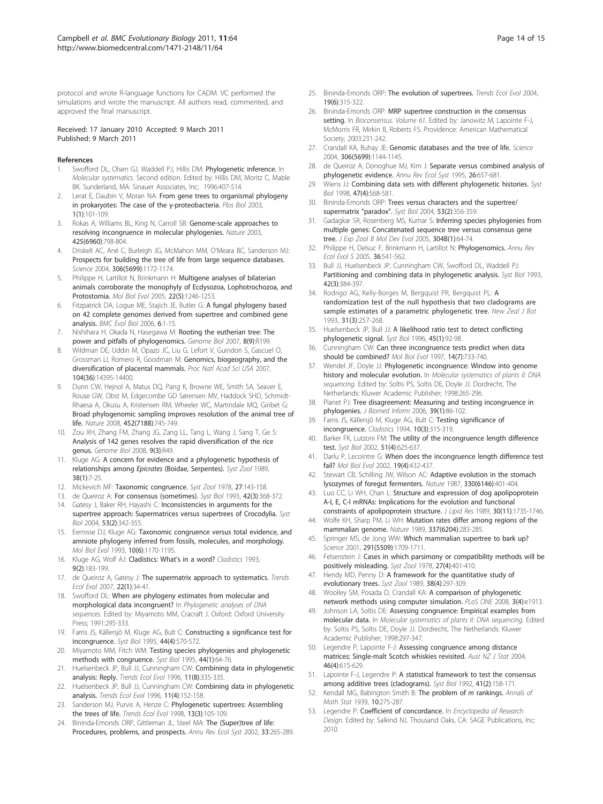<span id="page-13-0"></span>protocol and wrote R-language functions for CADM. VC performed the simulations and wrote the manuscript. All authors read, commented, and approved the final manuscript.

#### Received: 17 January 2010 Accepted: 9 March 2011 Published: 9 March 2011

#### References

- Swofford DL, Olsen GJ, Waddell PJ, Hillis DM: Phylogenetic inference. In Molecular systematics. Second edition. Edited by: Hillis DM, Moritz C, Mable BK. Sunderland, MA: Sinauer Associates, Inc; 1996:407-514.
- 2. Lerat E, Daubin V, Moran NA: From gene trees to organismal phylogeny in prokaryotes: The case of the γ-proteobacteria. Plos Biol 2003, 1(1):101-109.
- 3. Rokas A, Williams BL, King N, Carroll SB: [Genome-scale approaches to](http://www.ncbi.nlm.nih.gov/pubmed/14574403?dopt=Abstract) [resolving incongruence in molecular phylogenies.](http://www.ncbi.nlm.nih.gov/pubmed/14574403?dopt=Abstract) Nature 2003, 425(6960):798-804.
- 4. Driskell AC, Ané C, Burleigh JG, McMahon MM, O'Meara BC, Sanderson MJ: [Prospects for building the tree of life from large sequence databases.](http://www.ncbi.nlm.nih.gov/pubmed/15539599?dopt=Abstract) Science 2004, 306(5699):1172-1174.
- Philippe H, Lartillot N, Brinkmann H: [Multigene analyses of bilaterian](http://www.ncbi.nlm.nih.gov/pubmed/15703236?dopt=Abstract) [animals corroborate the monophyly of Ecdysozoa, Lophotrochozoa, and](http://www.ncbi.nlm.nih.gov/pubmed/15703236?dopt=Abstract) [Protostomia.](http://www.ncbi.nlm.nih.gov/pubmed/15703236?dopt=Abstract) Mol Biol Evol 2005, 22(5):1246-1253.
- 6. Fitzpatrick DA, Logue ME, Stajich JE, Butler G: [A fungal phylogeny based](http://www.ncbi.nlm.nih.gov/pubmed/16388682?dopt=Abstract) [on 42 complete genomes derived from supertree and combined gene](http://www.ncbi.nlm.nih.gov/pubmed/16388682?dopt=Abstract) [analysis.](http://www.ncbi.nlm.nih.gov/pubmed/16388682?dopt=Abstract) BMC Evol Biol 2006, 6:1-15.
- 7. Nishihara H, Okada N, Hasegawa M: [Rooting the eutherian tree: The](http://www.ncbi.nlm.nih.gov/pubmed/17883877?dopt=Abstract) [power and pitfalls of phylogenomics.](http://www.ncbi.nlm.nih.gov/pubmed/17883877?dopt=Abstract) Genome Biol 2007, 8(9):R199.
- 8. Wildman DE, Uddin M, Opazo JC, Liu G, Lefort V, Guindon S, Gascuel O, Grossman LI, Romero R, Goodman M: [Genomics, biogeography, and the](http://www.ncbi.nlm.nih.gov/pubmed/17728403?dopt=Abstract) [diversification of placental mammals.](http://www.ncbi.nlm.nih.gov/pubmed/17728403?dopt=Abstract) Proc Natl Acad Sci USA 2007, 104(36):14395-14400.
- 9. Dunn CW, Hejnol A, Matus DQ, Pang K, Browne WE, Smith SA, Seaver E, Rouse GW, Obst M, Edgecombe GD Sørensen MV, Haddock SHD, Schmidt-Rhaesa A, Okusu A, Kristensen RM, Wheeler WC, Martindale MQ, Giribet G: [Broad phylogenomic sampling improves resolution of the animal tree of](http://www.ncbi.nlm.nih.gov/pubmed/18322464?dopt=Abstract) [life.](http://www.ncbi.nlm.nih.gov/pubmed/18322464?dopt=Abstract) Nature 2008, 452(7188):745-749.
- 10. Zou XH, Zhang FM, Zhang JG, Zang LL, Tang L, Wang J, Sang T, Ge S: [Analysis of 142 genes resolves the rapid diversification of the rice](http://www.ncbi.nlm.nih.gov/pubmed/18315873?dopt=Abstract) [genus.](http://www.ncbi.nlm.nih.gov/pubmed/18315873?dopt=Abstract) Genome Biol 2008, 9(3):R49.
- 11. Kluge AG: A concern for evidence and a phylogenetic hypothesis of relationships among Epicrates (Boidae, Serpentes). Syst Zool 1989, 38(1):7-25.
- 12. Mickevich MF: Taxonomic congruence. Syst Zool 1978, 27:143-158.
- 13. de Queiroz A: For consensus (sometimes). Syst Biol 1993, 42(3):368-372.
- 14. Gatesy J, Baker RH, Hayashi C: [Inconsistencies in arguments for the](http://www.ncbi.nlm.nih.gov/pubmed/15205058?dopt=Abstract) [supertree approach: Supermatrices versus supertrees of Crocodylia.](http://www.ncbi.nlm.nih.gov/pubmed/15205058?dopt=Abstract) Syst Biol 2004, 53(2):342-355.
- 15. Eernisse DJ, Kluge AG: [Taxonomic congruence versus total evidence, and](http://www.ncbi.nlm.nih.gov/pubmed/8277850?dopt=Abstract) [amniote phylogeny inferred from fossils, molecules, and morphology.](http://www.ncbi.nlm.nih.gov/pubmed/8277850?dopt=Abstract) Mol Biol Evol 1993, 10(6):1170-1195.
- 16. Kluge AG, Wolf AJ: Cladistics: What's in a word? Cladistics 1993, 9(2):183-199.
- 17. de Queiroz A, Gatesy J: [The supermatrix approach to systematics.](http://www.ncbi.nlm.nih.gov/pubmed/17046100?dopt=Abstract) Trends Ecol Evol 2007, 22(1):34-41.
- 18. Swofford DL: When are phylogeny estimates from molecular and morphological data incongruent? In Phylogenetic analyses of DNA sequences. Edited by: Miyamoto MM, Cracraft J. Oxford: Oxford University Press; 1991:295-333.
- 19. Farris JS, Källersjö M, Kluge AG, Bult C: Constructing a significance test for incongruence. Syst Biol 1995, 44(4):570-572.
- 20. Miyamoto MM, Fitch WM: Testing species phylogenies and phylogenetic methods with congruence. Syst Biol 1995, 44(1):64-76.
- 21. Huelsenbeck JP, Bull JJ, Cunningham CW: [Combining data in phylogenetic](http://www.ncbi.nlm.nih.gov/pubmed/21237868?dopt=Abstract) [analysis: Reply.](http://www.ncbi.nlm.nih.gov/pubmed/21237868?dopt=Abstract) Trends Ecol Evol 1996, 11(8):335-335.
- 22. Huelsenbeck JP, Bull JJ, Cunningham CW: [Combining data in phylogenetic](http://www.ncbi.nlm.nih.gov/pubmed/21237790?dopt=Abstract) [analysis.](http://www.ncbi.nlm.nih.gov/pubmed/21237790?dopt=Abstract) Trends Ecol Evol 1996, 11(4):152-158.
- 23. Sanderson MJ, Purvis A, Henze C: [Phylogenetic supertrees: Assembling](http://www.ncbi.nlm.nih.gov/pubmed/21238221?dopt=Abstract) [the trees of life.](http://www.ncbi.nlm.nih.gov/pubmed/21238221?dopt=Abstract) Trends Ecol Evol 1998, 13(3):105-109.
- 24. Bininda-Emonds ORP, Gittleman JL, Steel MA: The (Super)tree of life: Procedures, problems, and prospects. Annu Rev Ecol Syst 2002, 33:265-289.
- 26. Bininda-Emonds ORP: MRP supertree construction in the consensus setting. In Bioconsensus. Volume 61. Edited by: Janowitz M, Lapointe F-J, McMorris FR, Mirkin B, Roberts FS. Providence: American Mathematical Society; 2003:231-242.
- 27. Crandall KA, Buhay JE: [Genomic databases and the tree of life.](http://www.ncbi.nlm.nih.gov/pubmed/15539592?dopt=Abstract) Science 2004, 306(5699):1144-1145.
- 28. de Queiroz A, Donoghue MJ, Kim J: Separate versus combined analysis of phylogenetic evidence. Annu Rev Ecol Syst 1995, 26:657-681.
- 29. Wiens JJ: [Combining data sets with different phylogenetic histories.](http://www.ncbi.nlm.nih.gov/pubmed/12066302?dopt=Abstract) Syst Biol 1998, 47(4):568-581.
- 30. Bininda-Emonds ORP: [Trees versus characters and the supertree/](http://www.ncbi.nlm.nih.gov/pubmed/15205059?dopt=Abstract) [supermatrix](http://www.ncbi.nlm.nih.gov/pubmed/15205059?dopt=Abstract) "paradox". Syst Biol 2004, 53(2):356-359.
- 31. Gadagkar SR, Rosenberg MS, Kumar S: Inferring species phylogenies from multiple genes: Concatenated sequence tree versus consensus gene tree. J Exp Zool B Mol Dev Evol 2005, 304B(1):64-74.
- 32. Philippe H, Delsuc F, Brinkmann H, Lartillot N: Phylogenomics. Annu Rev Ecol Evol S 2005, 36:541-562.
- 33. Bull JJ, Huelsenbeck JP, Cunningham CW, Swofford DL, Waddell PJ: Partitioning and combining data in phylogenetic analysis. Syst Biol 1993, 42(3):384-397.
- 34. Rodrigo AG, Kelly-Borges M, Bergquist PR, Bergquist PL: A randomization test of the null hypothesis that two cladograms are sample estimates of a parametric phylogenetic tree. New Zeal J Bot 1993, 31(3):257-268.
- 35. Huelsenbeck JP, Bull JJ: A likelihood ratio test to detect conflicting phylogenetic signal. Syst Biol 1996, 45(1):92-98.
- 36. Cunningham CW: [Can three incongruence tests predict when data](http://www.ncbi.nlm.nih.gov/pubmed/9214746?dopt=Abstract) [should be combined?](http://www.ncbi.nlm.nih.gov/pubmed/9214746?dopt=Abstract) Mol Biol Evol 1997, 14(7):733-740.
- 37. Wendel JF, Doyle JJ: Phylogenetic incongruence: Window into genome history and molecular evolution. In Molecular systematics of plants II: DNA sequencing. Edited by: Soltis PS, Soltis DE, Doyle JJ. Dordrecht, The Netherlands: Kluwer Academic Publisher; 1998:265-296.
- Planet PJ: [Tree disagreement: Measuring and testing incongruence in](http://www.ncbi.nlm.nih.gov/pubmed/16243006?dopt=Abstract) [phylogenies.](http://www.ncbi.nlm.nih.gov/pubmed/16243006?dopt=Abstract) J Biomed Inform 2006, 39(1):86-102.
- 39. Farris JS, Källersjö M, Kluge AG, Bult C: Testing significance of incongruence. Cladistics 1994, 10(3):315-319.
- 40. Barker FK, Lutzoni FM: [The utility of the incongruence length difference](http://www.ncbi.nlm.nih.gov/pubmed/12228004?dopt=Abstract) [test.](http://www.ncbi.nlm.nih.gov/pubmed/12228004?dopt=Abstract) Syst Biol 2002, 51(4):625-637.
- 41. Darlu P, Lecointre G: [When does the incongruence length difference test](http://www.ncbi.nlm.nih.gov/pubmed/11919284?dopt=Abstract) [fail?](http://www.ncbi.nlm.nih.gov/pubmed/11919284?dopt=Abstract) Mol Biol Evol 2002, 19(4):432-437
- 42. Stewart CB, Schilling JW, Wilson AC: [Adaptive evolution in the stomach](http://www.ncbi.nlm.nih.gov/pubmed/3120013?dopt=Abstract) [lysozymes of foregut fermenters.](http://www.ncbi.nlm.nih.gov/pubmed/3120013?dopt=Abstract) Nature 1987, 330(6146):401-404.
- 43. Luo CC, Li WH, Chan L: [Structure and expression of dog apolipoprotein](http://www.ncbi.nlm.nih.gov/pubmed/2515239?dopt=Abstract) [A-I, E, C-I mRNAs: Implications for the evolution and functional](http://www.ncbi.nlm.nih.gov/pubmed/2515239?dopt=Abstract) [constraints of apolipoprotein structure.](http://www.ncbi.nlm.nih.gov/pubmed/2515239?dopt=Abstract) J Lipid Res 1989, 30(11):1735-1746.
- 44. Wolfe KH, Sharp PM, Li WH: [Mutation rates differ among regions of the](http://www.ncbi.nlm.nih.gov/pubmed/2911369?dopt=Abstract) [mammalian genome.](http://www.ncbi.nlm.nih.gov/pubmed/2911369?dopt=Abstract) Nature 1989, 337(6204):283-285.
- 45. Springer MS, de Jong WW: [Which mammalian supertree to bark up?](http://www.ncbi.nlm.nih.gov/pubmed/11253193?dopt=Abstract) Science 2001, 291(5509):1709-1711.
- 46. Felsenstein J: Cases in which parsimony or compatibility methods will be positively misleading. Syst Zool 1978, 27(4):401-410.
- 47. Hendy MD, Penny D: A framework for the quantitative study of evolutionary trees. Syst Zool 1989, 38(4):297-309.
- 48. Woolley SM, Posada D, Crandall KA: [A comparison of phylogenetic](http://www.ncbi.nlm.nih.gov/pubmed/18398452?dopt=Abstract) [network methods using computer simulation.](http://www.ncbi.nlm.nih.gov/pubmed/18398452?dopt=Abstract) PLoS ONE 2008, 3(4):e1913.
- 49. Johnson LA, Soltis DE: Assessing congruence: Empirical examples from molecular data. In Molecular systematics of plants II: DNA sequencing. Edited by: Soltis PS, Soltis DE, Doyle JJ. Dordrecht, The Netherlands: Kluwer Academic Publisher; 1998:297-347.
- 50. Legendre P, Lapointe F-J: Assessing congruence among distance matrices: Single-malt Scotch whiskies revisited. Aust NZ J Stat 2004, 46(4):615-629.
- 51. Lapointe F-J, Legendre P: A statistical framework to test the consensus among additive trees (cladograms). Syst Biol 1992, 41(2):158-171.
- 52. Kendall MG, Babington Smith B: The problem of m rankings. Annals of Math Stat 1939, 10:275-287.
- 53. Legendre P: Coefficient of concordance. In Encyclopedia of Research Design. Edited by: Salkind NJ. Thousand Oaks, CA: SAGE Publications, Inc; 2010.